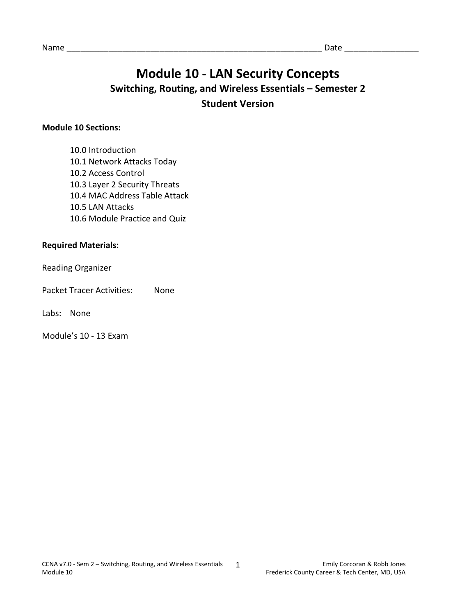## **Module 10 - LAN Security Concepts Switching, Routing, and Wireless Essentials – Semester 2 Student Version**

#### **Module 10 Sections:**

10.0 Introduction 10.1 Network Attacks Today 10.2 Access Control 10.3 Layer 2 Security Threats 10.4 MAC Address Table Attack 10.5 LAN Attacks 10.6 Module Practice and Quiz

#### **Required Materials:**

Reading Organizer

Packet Tracer Activities: None

Labs: None

Module's 10 - 13 Exam

1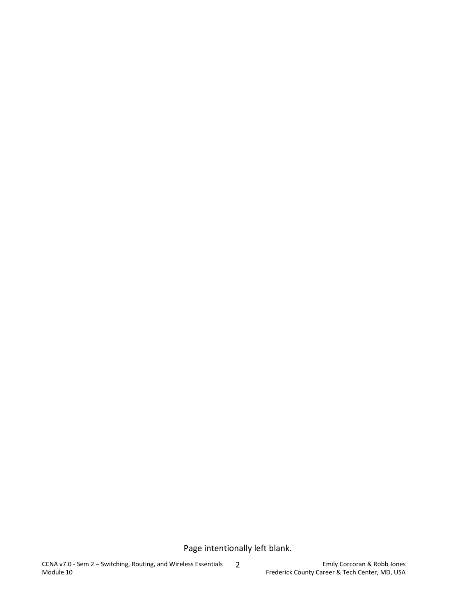Page intentionally left blank.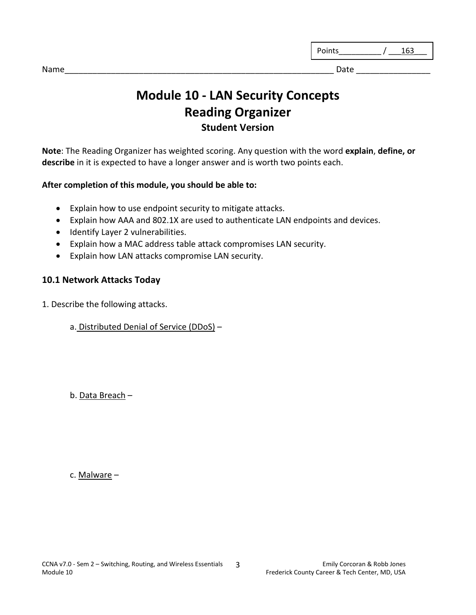# **Module 10 - LAN Security Concepts Reading Organizer Student Version**

**Note**: The Reading Organizer has weighted scoring. Any question with the word **explain**, **define, or describe** in it is expected to have a longer answer and is worth two points each.

#### **After completion of this module, you should be able to:**

- Explain how to use endpoint security to mitigate attacks.
- Explain how AAA and 802.1X are used to authenticate LAN endpoints and devices.
- Identify Layer 2 vulnerabilities.
- Explain how a MAC address table attack compromises LAN security.
- Explain how LAN attacks compromise LAN security.

## **10.1 Network Attacks Today**

1. Describe the following attacks.

a. Distributed Denial of Service (DDoS) –

b. Data Breach -

c. Malware –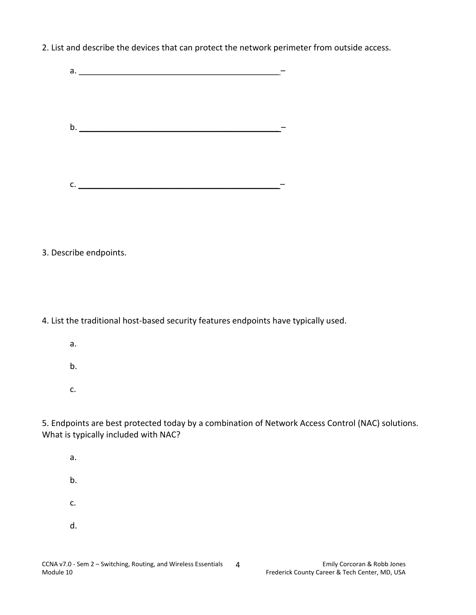2. List and describe the devices that can protect the network perimeter from outside access.

| b.                   |  |
|----------------------|--|
|                      |  |
|                      |  |
|                      |  |
|                      |  |
| $C.$ $\qquad \qquad$ |  |
|                      |  |
|                      |  |

3. Describe endpoints.

4. List the traditional host-based security features endpoints have typically used.

a. b. c.

5. Endpoints are best protected today by a combination of Network Access Control (NAC) solutions. What is typically included with NAC?

a. b. c. d.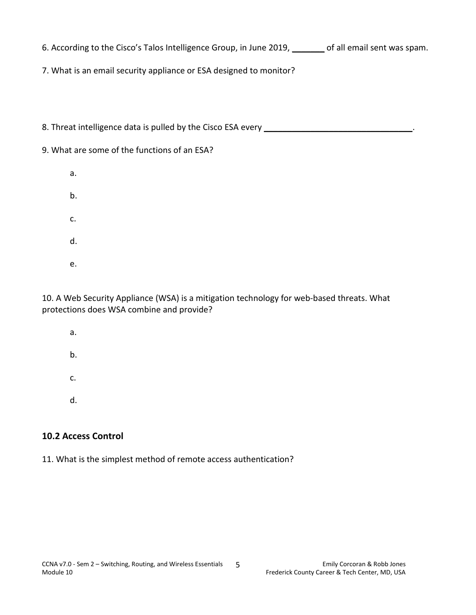6. According to the Cisco's Talos Intelligence Group, in June 2019, \_\_\_\_\_\_\_ of all email sent was spam. 7. What is an email security appliance or ESA designed to monitor? 8. Threat intelligence data is pulled by the Cisco ESA every \_\_\_\_\_\_\_\_\_\_\_\_\_\_\_\_\_\_\_ 9. What are some of the functions of an ESA? a. b. c.

- d.
- e.

10. A Web Security Appliance (WSA) is a mitigation technology for web-based threats. What protections does WSA combine and provide?

a. b. c. d.

### **10.2 Access Control**

11. What is the simplest method of remote access authentication?

5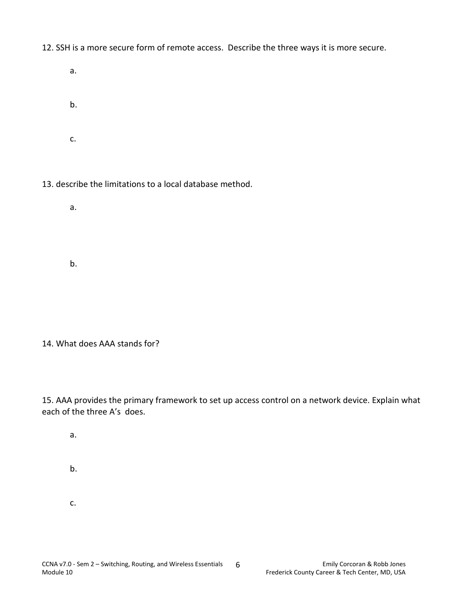12. SSH is a more secure form of remote access. Describe the three ways it is more secure.

a. b. c.

13. describe the limitations to a local database method.

a. b.

14. What does AAA stands for?

15. AAA provides the primary framework to set up access control on a network device. Explain what each of the three A's does.

a.

b.

c.

6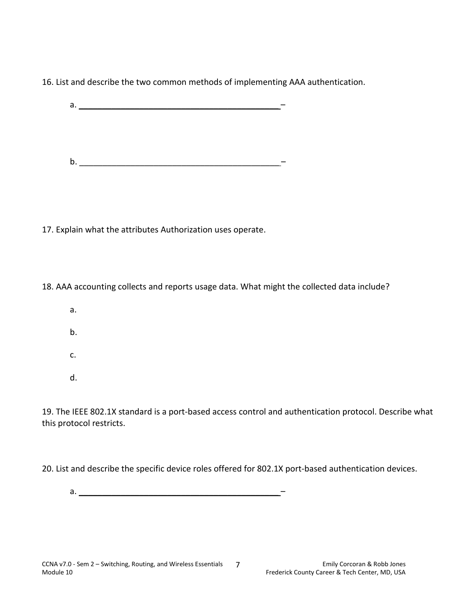16. List and describe the two common methods of implementing AAA authentication.

| a. |  |  |  |
|----|--|--|--|
|    |  |  |  |
|    |  |  |  |
|    |  |  |  |
|    |  |  |  |
| b  |  |  |  |

17. Explain what the attributes Authorization uses operate.

18. AAA accounting collects and reports usage data. What might the collected data include?

a. b. c.

d.

19. The IEEE 802.1X standard is a port-based access control and authentication protocol. Describe what this protocol restricts.

20. List and describe the specific device roles offered for 802.1X port-based authentication devices.

a. \_\_\_\_\_\_\_\_\_\_\_\_\_\_\_\_\_\_\_\_\_\_\_\_\_\_\_\_\_\_\_\_\_\_\_\_\_\_\_\_\_\_\_ –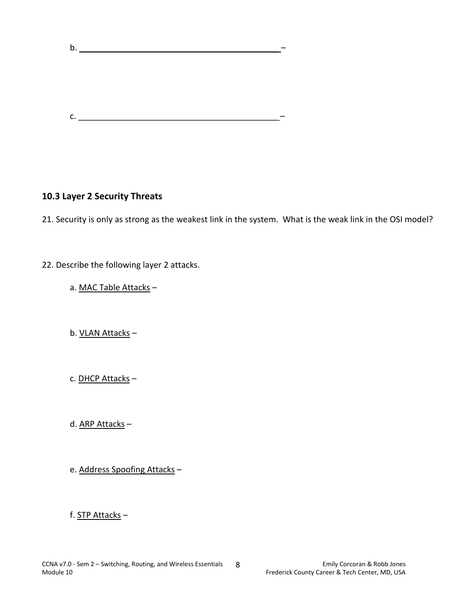| c. |  |  |
|----|--|--|

### **10.3 Layer 2 Security Threats**

21. Security is only as strong as the weakest link in the system. What is the weak link in the OSI model?

22. Describe the following layer 2 attacks.

- a. MAC Table Attacks –
- b. VLAN Attacks –
- c. DHCP Attacks –

d. ARP Attacks –

- e. Address Spoofing Attacks –
- f. STP Attacks –

Frederick County Career & Tech Center, MD, USA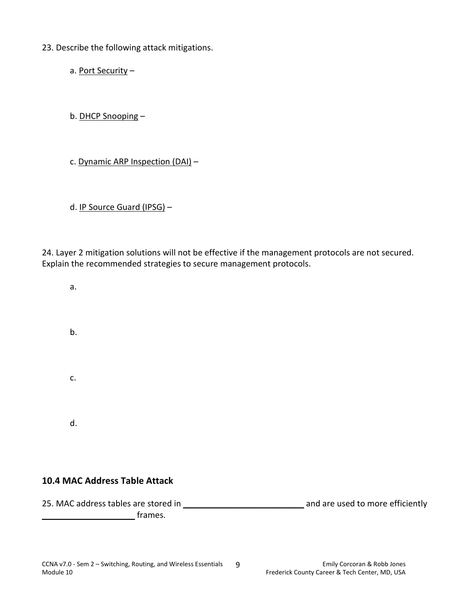23. Describe the following attack mitigations.

a. Port Security –

b. DHCP Snooping –

c. Dynamic ARP Inspection (DAI) –

d. IP Source Guard (IPSG) -

a.

24. Layer 2 mitigation solutions will not be effective if the management protocols are not secured. Explain the recommended strategies to secure management protocols.

| b. |  |  |  |
|----|--|--|--|
|    |  |  |  |
| с. |  |  |  |
|    |  |  |  |
| d. |  |  |  |
|    |  |  |  |

#### **10.4 MAC Address Table Attack**

25. MAC address tables are stored in \_\_\_\_\_\_\_\_\_\_\_\_\_\_\_\_\_\_\_\_\_\_\_\_\_\_ and are used to more efficiently \_\_\_\_\_\_\_\_\_\_\_\_\_\_\_\_\_\_\_\_ frames.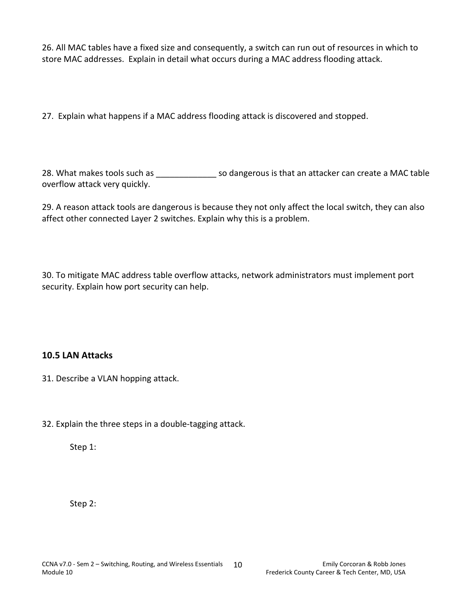26. All MAC tables have a fixed size and consequently, a switch can run out of resources in which to store MAC addresses. Explain in detail what occurs during a MAC address flooding attack.

27. Explain what happens if a MAC address flooding attack is discovered and stopped.

28. What makes tools such as \_\_\_\_\_\_\_\_\_\_\_\_\_\_\_\_ so dangerous is that an attacker can create a MAC table overflow attack very quickly.

29. A reason attack tools are dangerous is because they not only affect the local switch, they can also affect other connected Layer 2 switches. Explain why this is a problem.

30. To mitigate MAC address table overflow attacks, network administrators must implement port security. Explain how port security can help.

#### **10.5 LAN Attacks**

- 31. Describe a VLAN hopping attack.
- 32. Explain the three steps in a double-tagging attack.

Step 1:

Step 2: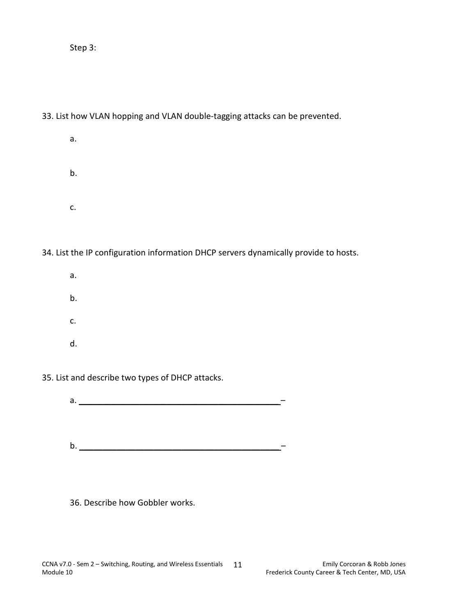Step 3:

#### 33. List how VLAN hopping and VLAN double-tagging attacks can be prevented.

a. b. c.

34. List the IP configuration information DHCP servers dynamically provide to hosts.

- a. b. c. d.
- 35. List and describe two types of DHCP attacks.
	- a. \_\_\_\_\_\_\_\_\_\_\_\_\_\_\_\_\_\_\_\_\_\_\_\_\_\_\_\_\_\_\_\_\_\_\_\_\_\_\_\_\_\_\_ –
	- b. \_\_\_\_\_\_\_\_\_\_\_\_\_\_\_\_\_\_\_\_\_\_\_\_\_\_\_\_\_\_\_\_\_\_\_\_\_\_\_\_\_\_\_ –
	- 36. Describe how Gobbler works.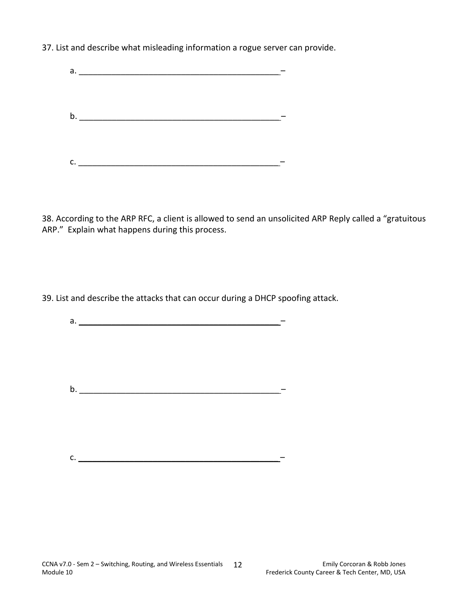37. List and describe what misleading information a rogue server can provide.

a. \_\_\_\_\_\_\_\_\_\_\_\_\_\_\_\_\_\_\_\_\_\_\_\_\_\_\_\_\_\_\_\_\_\_\_\_\_\_\_\_\_\_\_ – b. \_\_\_\_\_\_\_\_\_\_\_\_\_\_\_\_\_\_\_\_\_\_\_\_\_\_\_\_\_\_\_\_\_\_\_\_\_\_\_\_\_\_\_ – c. \_\_\_\_\_\_\_\_\_\_\_\_\_\_\_\_\_\_\_\_\_\_\_\_\_\_\_\_\_\_\_\_\_\_\_\_\_\_\_\_\_\_\_ –

38. According to the ARP RFC, a client is allowed to send an unsolicited ARP Reply called a "gratuitous ARP." Explain what happens during this process.

39. List and describe the attacks that can occur during a DHCP spoofing attack.

a. \_\_\_\_\_\_\_\_\_\_\_\_\_\_\_\_\_\_\_\_\_\_\_\_\_\_\_\_\_\_\_\_\_\_\_\_\_\_\_\_\_\_\_ – b.  $\Box$ c. \_\_\_\_\_\_\_\_\_\_\_\_\_\_\_\_\_\_\_\_\_\_\_\_\_\_\_\_\_\_\_\_\_\_\_\_\_\_\_\_\_\_\_ –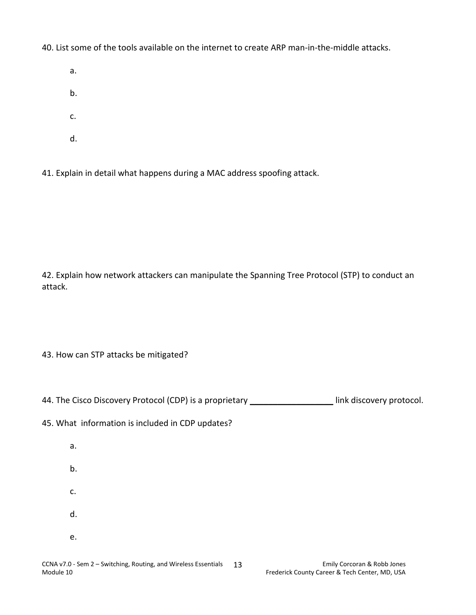40. List some of the tools available on the internet to create ARP man-in-the-middle attacks.

- a. b. c. d.
- 41. Explain in detail what happens during a MAC address spoofing attack.

42. Explain how network attackers can manipulate the Spanning Tree Protocol (STP) to conduct an attack.

43. How can STP attacks be mitigated?

44. The Cisco Discovery Protocol (CDP) is a proprietary \_\_\_\_\_\_\_\_\_\_\_\_\_\_\_\_\_\_\_\_\_\_\_ link discovery protocol.

45. What information is included in CDP updates?

| а.            |  |  |  |
|---------------|--|--|--|
| b.            |  |  |  |
| $\mathsf{C}.$ |  |  |  |
| d.            |  |  |  |
| e.            |  |  |  |